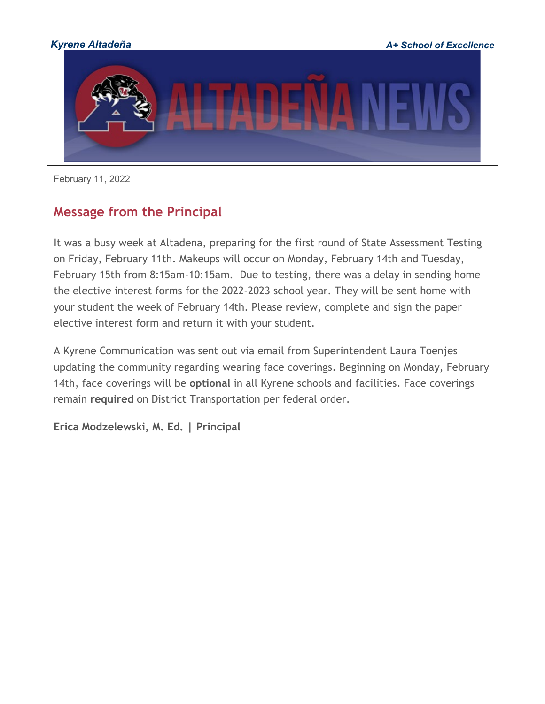

February 11, 2022

### **Message from the Principal**

It was a busy week at Altadena, preparing for the first round of State Assessment Testing on Friday, February 11th. Makeups will occur on Monday, February 14th and Tuesday, February 15th from 8:15am-10:15am. Due to testing, there was a delay in sending home the elective interest forms for the 2022-2023 school year. They will be sent home with your student the week of February 14th. Please review, complete and sign the paper elective interest form and return it with your student.

A Kyrene Communication was sent out via email from Superintendent Laura Toenjes updating the community regarding wearing face coverings. Beginning on Monday, February 14th, face coverings will be **optional** in all Kyrene schools and facilities. Face coverings remain **required** on District Transportation per federal order.

**Erica Modzelewski, M. Ed. | Principal**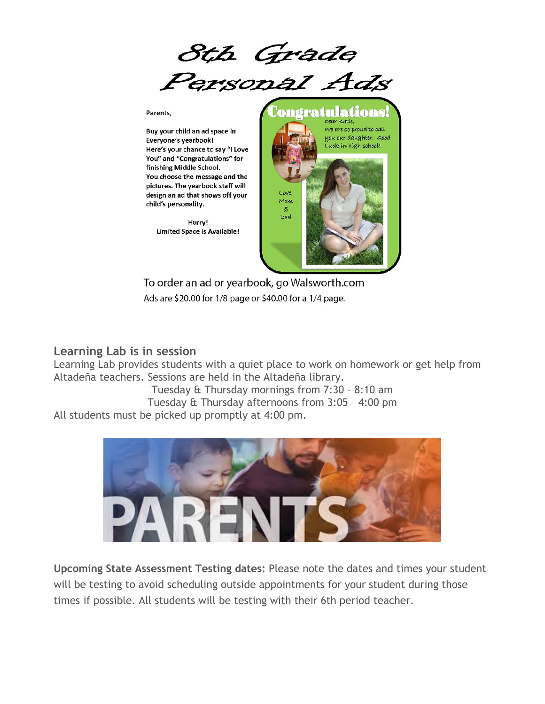8th Grade Personal Ads

Parents,

Buy your child an ad space in Everyone's yearbook! Here's your chance to say "I Love You" and "Congratulations" for finishing Middle School. You choose the message and the pictures. The yearbook staff will design an ad that shows off your child's personality.

> Hurry! Limited Space is Available!



To order an ad or yearbook, go Walsworth.com Ads are \$20.00 for 1/8 page or \$40.00 for a 1/4 page.

#### **Learning Lab is in session**

Learning Lab provides students with a quiet place to work on homework or get help from Altadeña teachers. Sessions are held in the Altadeña library.

Tuesday & Thursday mornings from 7:30 – 8:10 am Tuesday & Thursday afternoons from 3:05 – 4:00 pm All students must be picked up promptly at 4:00 pm.



**Upcoming State Assessment Testing dates:** Please note the dates and times your student will be testing to avoid scheduling outside appointments for your student during those times if possible. All students will be testing with their 6th period teacher.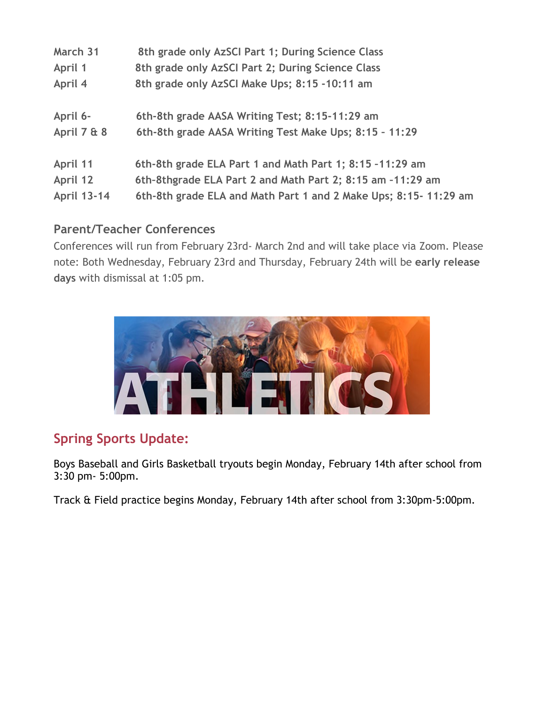| March 31           | 8th grade only AzSCI Part 1; During Science Class               |
|--------------------|-----------------------------------------------------------------|
| April 1            | 8th grade only AzSCI Part 2; During Science Class               |
| April 4            | 8th grade only AzSCI Make Ups; 8:15 -10:11 am                   |
| April 6-           | 6th-8th grade AASA Writing Test; 8:15-11:29 am                  |
| April 7 & 8        | 6th-8th grade AASA Writing Test Make Ups; 8:15 - 11:29          |
| April 11           | 6th-8th grade ELA Part 1 and Math Part 1; 8:15 -11:29 am        |
| April 12           | 6th-8thgrade ELA Part 2 and Math Part 2; 8:15 am -11:29 am      |
| <b>April 13-14</b> | 6th-8th grade ELA and Math Part 1 and 2 Make Ups; 8:15-11:29 am |
|                    |                                                                 |

#### **Parent/Teacher Conferences**

Conferences will run from February 23rd- March 2nd and will take place via Zoom. Please note: Both Wednesday, February 23rd and Thursday, February 24th will be **early release days** with dismissal at 1:05 pm.



# **Spring Sports Update:**

Boys Baseball and Girls Basketball tryouts begin Monday, February 14th after school from 3:30 pm- 5:00pm.

Track & Field practice begins Monday, February 14th after school from 3:30pm-5:00pm.